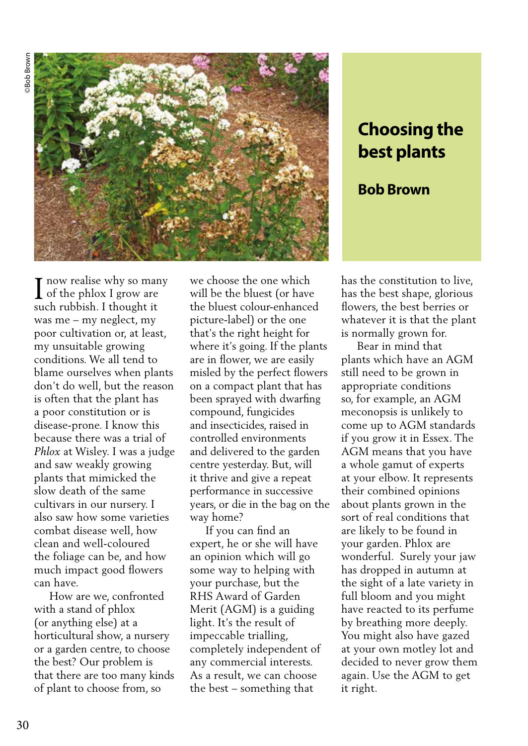

## **Choosing the best plants**

## **Bob Brown**

 $\blacksquare$  now realise why so many  $\int_0^{\infty} \frac{\text{row realise why so man}}{\text{of the phlox I grow are}}$ such rubbish. I thought it was me – my neglect, my poor cultivation or, at least, my unsuitable growing conditions. We all tend to blame ourselves when plants don't do well, but the reason is often that the plant has a poor constitution or is disease-prone. I know this because there was a trial of *Phlox* at Wisley. I was a judge and saw weakly growing plants that mimicked the slow death of the same cultivars in our nursery. I also saw how some varieties combat disease well, how clean and well-coloured the foliage can be, and how much impact good flowers can have.

 How are we, confronted with a stand of phlox (or anything else) at a horticultural show, a nursery or a garden centre, to choose the best? Our problem is that there are too many kinds of plant to choose from, so

we choose the one which will be the bluest (or have the bluest colour-enhanced picture-label) or the one that's the right height for where it's going. If the plants are in flower, we are easily misled by the perfect flowers on a compact plant that has been sprayed with dwarfing compound, fungicides and insecticides, raised in controlled environments and delivered to the garden centre yesterday. But, will it thrive and give a repeat performance in successive years, or die in the bag on the way home?

 If you can find an expert, he or she will have an opinion which will go some way to helping with your purchase, but the RHS Award of Garden Merit (AGM) is a guiding light. It's the result of impeccable trialling, completely independent of any commercial interests. As a result, we can choose the best – something that

has the constitution to live, has the best shape, glorious flowers, the best berries or whatever it is that the plant is normally grown for.

 Bear in mind that plants which have an AGM still need to be grown in appropriate conditions so, for example, an AGM meconopsis is unlikely to come up to AGM standards if you grow it in Essex. The AGM means that you have a whole gamut of experts at your elbow. It represents their combined opinions about plants grown in the sort of real conditions that are likely to be found in your garden. Phlox are wonderful. Surely your jaw has dropped in autumn at the sight of a late variety in full bloom and you might have reacted to its perfume by breathing more deeply. You might also have gazed at your own motley lot and decided to never grow them again. Use the AGM to get it right.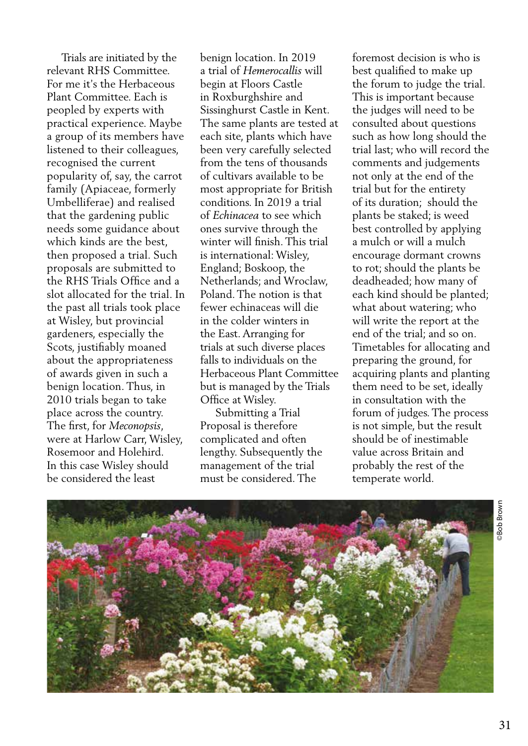Trials are initiated by the relevant RHS Committee. For me it's the Herbaceous Plant Committee. Each is peopled by experts with practical experience. Maybe a group of its members have listened to their colleagues, recognised the current popularity of, say, the carrot family (Apiaceae, formerly Umbelliferae) and realised that the gardening public needs some guidance about which kinds are the best, then proposed a trial. Such proposals are submitted to the RHS Trials Office and a slot allocated for the trial. In the past all trials took place at Wisley, but provincial gardeners, especially the Scots, justifiably moaned about the appropriateness of awards given in such a benign location. Thus, in 2010 trials began to take place across the country. The first, for *Meconopsis*, were at Harlow Carr, Wisley, Rosemoor and Holehird. In this case Wisley should be considered the least

benign location. In 2019 a trial of *Hemerocallis* will begin at Floors Castle in Roxburghshire and Sissinghurst Castle in Kent. The same plants are tested at each site, plants which have been very carefully selected from the tens of thousands of cultivars available to be most appropriate for British conditions. In 2019 a trial of *Echinacea* to see which ones survive through the winter will finish. This trial is international: Wisley, England; Boskoop, the Netherlands; and Wroclaw, Poland. The notion is that fewer echinaceas will die in the colder winters in the East. Arranging for trials at such diverse places falls to individuals on the Herbaceous Plant Committee but is managed by the Trials Office at Wisley.

 Submitting a Trial Proposal is therefore complicated and often lengthy. Subsequently the management of the trial must be considered. The

foremost decision is who is best qualified to make up the forum to judge the trial. This is important because the judges will need to be consulted about questions such as how long should the trial last; who will record the comments and judgements not only at the end of the trial but for the entirety of its duration; should the plants be staked; is weed best controlled by applying a mulch or will a mulch encourage dormant crowns to rot; should the plants be deadheaded; how many of each kind should be planted; what about watering; who will write the report at the end of the trial; and so on. Timetables for allocating and preparing the ground, for acquiring plants and planting them need to be set, ideally in consultation with the forum of judges. The process is not simple, but the result should be of inestimable value across Britain and probably the rest of the temperate world.



**Bob Brown** ©Bob Brown